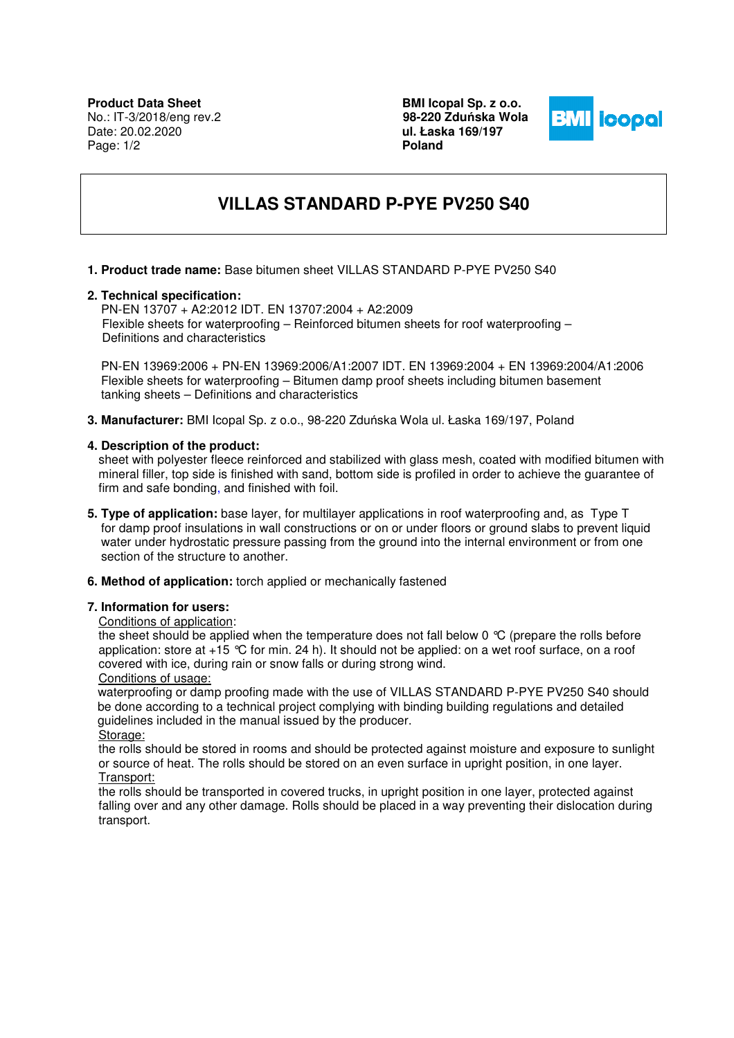**BMI Icopal Sp. z o.o. 98-220 Zdu**ń**ska Wola ul. Łaska 169/197 Poland** 



# **VILLAS STANDARD P-PYE PV250 S40**

# **1. Product trade name:** Base bitumen sheet VILLAS STANDARD P-PYE PV250 S40

#### **2. Technical specification:**

 PN-EN 13707 + A2:2012 IDT. EN 13707:2004 + A2:2009 Flexible sheets for waterproofing – Reinforced bitumen sheets for roof waterproofing – Definitions and characteristics

 PN-EN 13969:2006 + PN-EN 13969:2006/A1:2007 IDT. EN 13969:2004 + EN 13969:2004/A1:2006 Flexible sheets for waterproofing – Bitumen damp proof sheets including bitumen basement tanking sheets – Definitions and characteristics

**3. Manufacturer:** BMI Icopal Sp. z o.o., 98-220 Zduńska Wola ul. Łaska 169/197, Poland

#### **4. Description of the product:**

sheet with polyester fleece reinforced and stabilized with glass mesh, coated with modified bitumen with mineral filler, top side is finished with sand, bottom side is profiled in order to achieve the guarantee of firm and safe bonding, and finished with foil.

- **5. Type of application:** base layer, for multilayer applications in roof waterproofing and, as Type T for damp proof insulations in wall constructions or on or under floors or ground slabs to prevent liquid water under hydrostatic pressure passing from the ground into the internal environment or from one section of the structure to another.
- **6. Method of application:** torch applied or mechanically fastened

#### **7. Information for users:**

# Conditions of application:

the sheet should be applied when the temperature does not fall below 0  $\degree$ C (prepare the rolls before application: store at +15 °C for min. 24 h). It should not be applied: on a wet roof surface, on a roof covered with ice, during rain or snow falls or during strong wind.

#### Conditions of usage:

 waterproofing or damp proofing made with the use of VILLAS STANDARD P-PYE PV250 S40 should be done according to a technical project complying with binding building regulations and detailed guidelines included in the manual issued by the producer. Storage:

the rolls should be stored in rooms and should be protected against moisture and exposure to sunlight or source of heat. The rolls should be stored on an even surface in upright position, in one layer. Transport:

the rolls should be transported in covered trucks, in upright position in one layer, protected against falling over and any other damage. Rolls should be placed in a way preventing their dislocation during transport.